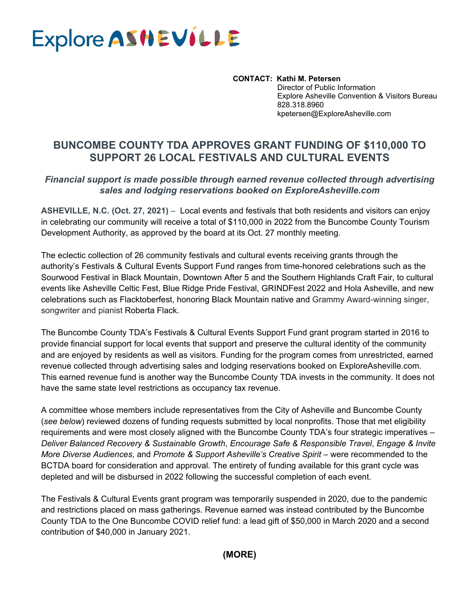# Explore ASHEVILLE

 **CONTACT: Kathi M. Petersen**  Director of Public Information Explore Asheville Convention & Visitors Bureau 828.318.8960 kpetersen@ExploreAsheville.com

# **BUNCOMBE COUNTY TDA APPROVES GRANT FUNDING OF \$110,000 TO SUPPORT 26 LOCAL FESTIVALS AND CULTURAL EVENTS**

#### *Financial support is made possible through earned revenue collected through advertising sales and lodging reservations booked on ExploreAsheville.com*

**ASHEVILLE, N.C. (Oct. 27, 2021)** – Local events and festivals that both residents and visitors can enjoy in celebrating our community will receive a total of \$110,000 in 2022 from the Buncombe County Tourism Development Authority, as approved by the board at its Oct. 27 monthly meeting.

The eclectic collection of 26 community festivals and cultural events receiving grants through the authority's Festivals & Cultural Events Support Fund ranges from time-honored celebrations such as the Sourwood Festival in Black Mountain, Downtown After 5 and the Southern Highlands Craft Fair, to cultural events like Asheville Celtic Fest, Blue Ridge Pride Festival, GRINDFest 2022 and Hola Asheville, and new celebrations such as Flacktoberfest, honoring Black Mountain native and Grammy Award-winning singer, songwriter and pianist Roberta Flack.

The Buncombe County TDA's Festivals & Cultural Events Support Fund grant program started in 2016 to provide financial support for local events that support and preserve the cultural identity of the community and are enjoyed by residents as well as visitors. Funding for the program comes from unrestricted, earned revenue collected through advertising sales and lodging reservations booked on ExploreAsheville.com. This earned revenue fund is another way the Buncombe County TDA invests in the community. It does not have the same state level restrictions as occupancy tax revenue.

A committee whose members include representatives from the City of Asheville and Buncombe County (*see below*) reviewed dozens of funding requests submitted by local nonprofits. Those that met eligibility requirements and were most closely aligned with the Buncombe County TDA's four strategic imperatives – *Deliver Balanced Recovery & Sustainable Growth*, *Encourage Safe & Responsible Travel*, *Engage & Invite More Diverse Audiences*, and *Promote & Support Asheville's Creative Spirit* – were recommended to the BCTDA board for consideration and approval. The entirety of funding available for this grant cycle was depleted and will be disbursed in 2022 following the successful completion of each event.

The Festivals & Cultural Events grant program was temporarily suspended in 2020, due to the pandemic and restrictions placed on mass gatherings. Revenue earned was instead contributed by the Buncombe County TDA to the One Buncombe COVID relief fund: a lead gift of \$50,000 in March 2020 and a second contribution of \$40,000 in January 2021.

**(MORE)**